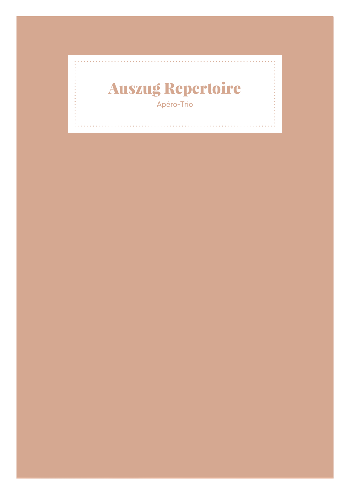# Auszug Repertoire Apéro-Trio